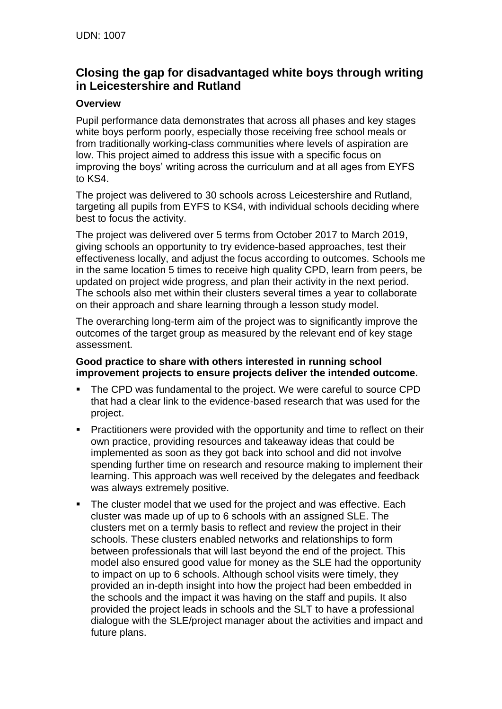# **Closing the gap for disadvantaged white boys through writing in Leicestershire and Rutland**

# **Overview**

Pupil performance data demonstrates that across all phases and key stages white boys perform poorly, especially those receiving free school meals or from traditionally working-class communities where levels of aspiration are low. This project aimed to address this issue with a specific focus on improving the boys' writing across the curriculum and at all ages from EYFS to KS4.

The project was delivered to 30 schools across Leicestershire and Rutland, targeting all pupils from EYFS to KS4, with individual schools deciding where best to focus the activity.

The project was delivered over 5 terms from October 2017 to March 2019, giving schools an opportunity to try evidence-based approaches, test their effectiveness locally, and adjust the focus according to outcomes. Schools me in the same location 5 times to receive high quality CPD, learn from peers, be updated on project wide progress, and plan their activity in the next period. The schools also met within their clusters several times a year to collaborate on their approach and share learning through a lesson study model.

The overarching long-term aim of the project was to significantly improve the outcomes of the target group as measured by the relevant end of key stage assessment.

#### **Good practice to share with others interested in running school improvement projects to ensure projects deliver the intended outcome.**

- The CPD was fundamental to the project. We were careful to source CPD that had a clear link to the evidence-based research that was used for the project.
- Practitioners were provided with the opportunity and time to reflect on their own practice, providing resources and takeaway ideas that could be implemented as soon as they got back into school and did not involve spending further time on research and resource making to implement their learning. This approach was well received by the delegates and feedback was always extremely positive.
- The cluster model that we used for the project and was effective. Each cluster was made up of up to 6 schools with an assigned SLE. The clusters met on a termly basis to reflect and review the project in their schools. These clusters enabled networks and relationships to form between professionals that will last beyond the end of the project. This model also ensured good value for money as the SLE had the opportunity to impact on up to 6 schools. Although school visits were timely, they provided an in-depth insight into how the project had been embedded in the schools and the impact it was having on the staff and pupils. It also provided the project leads in schools and the SLT to have a professional dialogue with the SLE/project manager about the activities and impact and future plans.